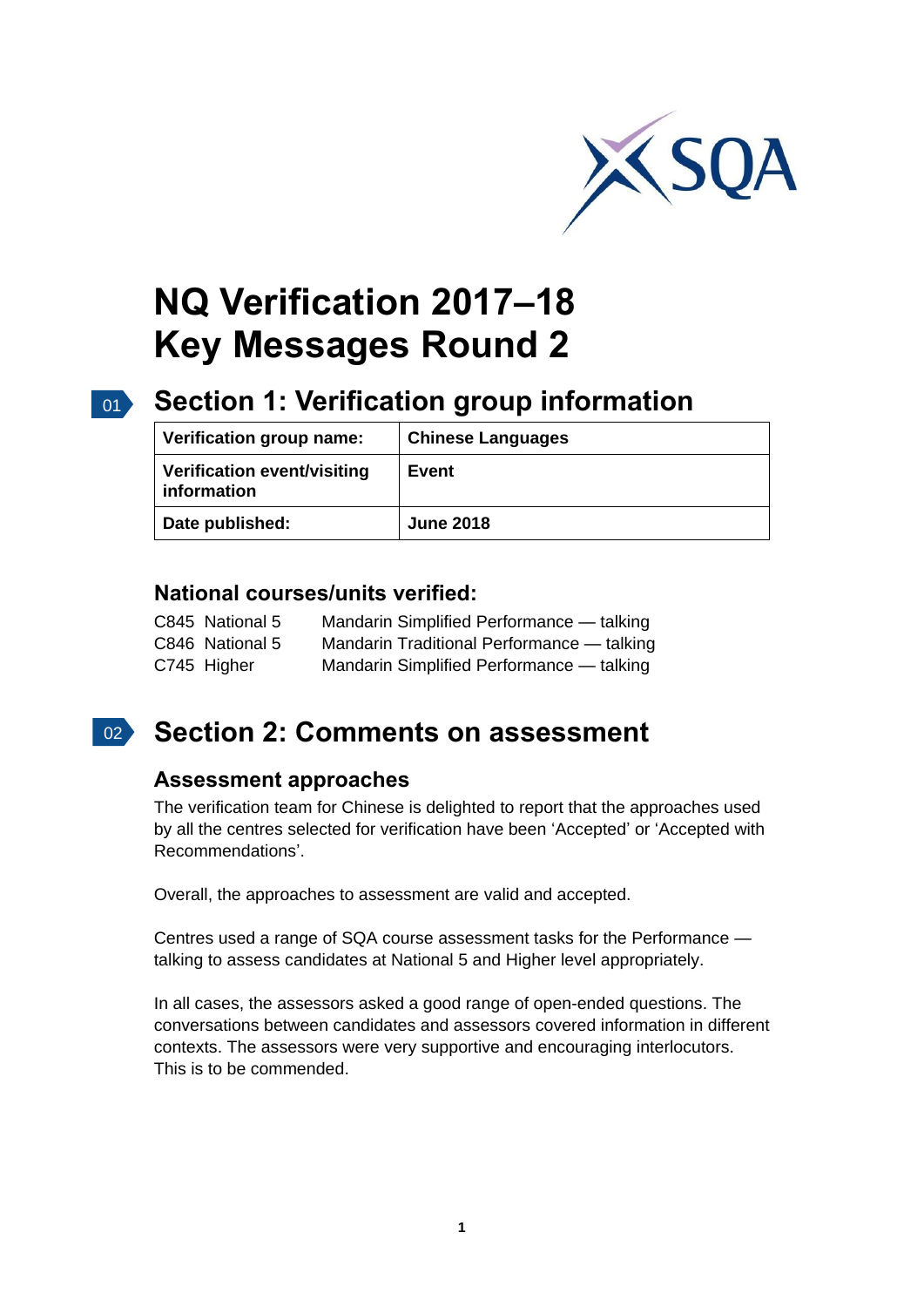

# **NQ Verification 2017–18 Key Messages Round 2**

# 01 **Section 1: Verification group information**

| Verification group name:                   | <b>Chinese Languages</b> |
|--------------------------------------------|--------------------------|
| Verification event/visiting<br>information | Event                    |
| Date published:                            | <b>June 2018</b>         |

#### **National courses/units verified:**

| C845 National 5 | Mandarin Simplified Performance - talking  |
|-----------------|--------------------------------------------|
| C846 National 5 | Mandarin Traditional Performance - talking |
| C745 Higher     | Mandarin Simplified Performance — talking  |

## 02 **Section 2: Comments on assessment**

### **Assessment approaches**

The verification team for Chinese is delighted to report that the approaches used by all the centres selected for verification have been 'Accepted' or 'Accepted with Recommendations'.

Overall, the approaches to assessment are valid and accepted.

Centres used a range of SQA course assessment tasks for the Performance talking to assess candidates at National 5 and Higher level appropriately.

In all cases, the assessors asked a good range of open-ended questions. The conversations between candidates and assessors covered information in different contexts. The assessors were very supportive and encouraging interlocutors. This is to be commended.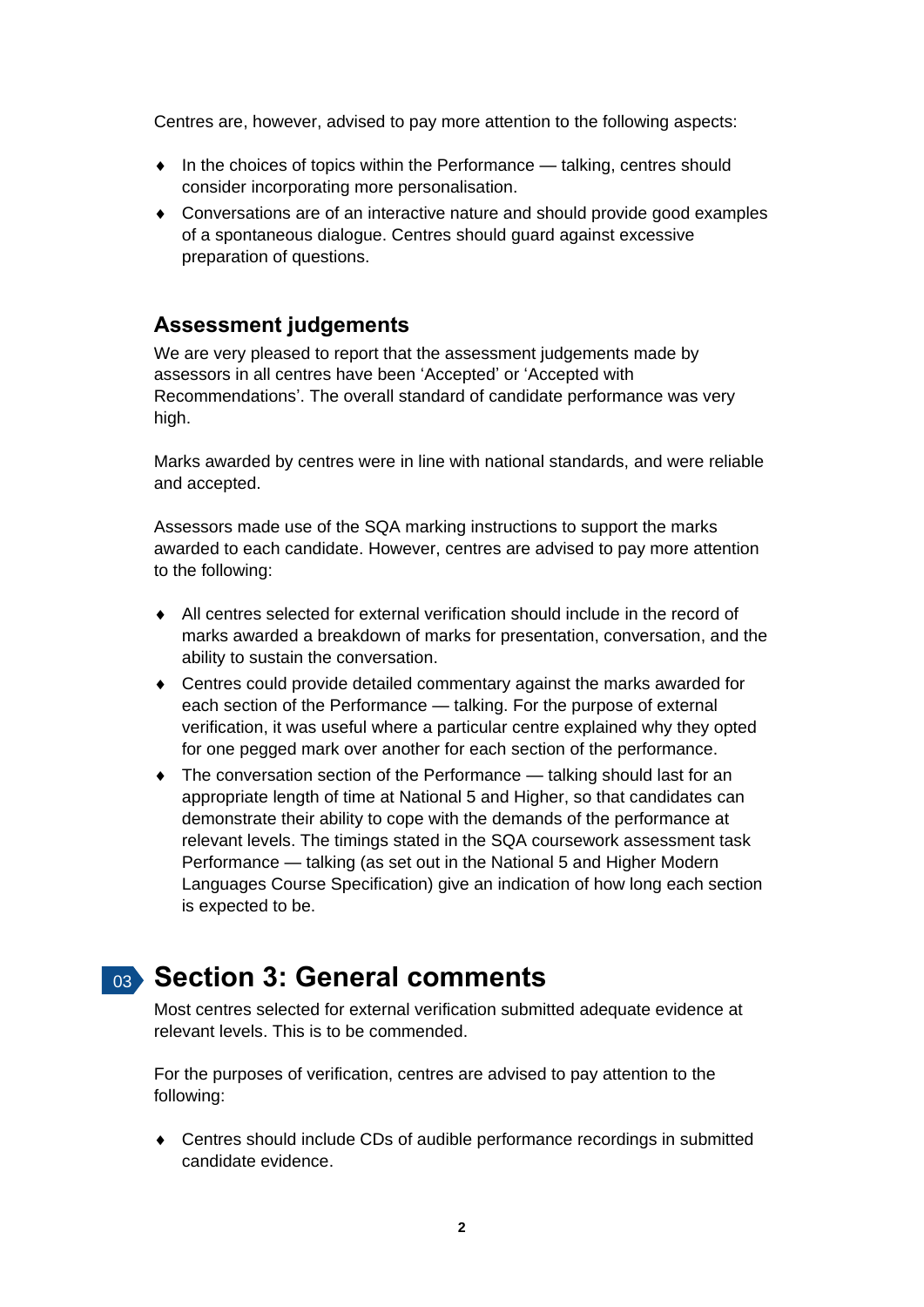Centres are, however, advised to pay more attention to the following aspects:

- In the choices of topics within the Performance talking, centres should consider incorporating more personalisation.
- Conversations are of an interactive nature and should provide good examples of a spontaneous dialogue. Centres should guard against excessive preparation of questions.

#### **Assessment judgements**

We are very pleased to report that the assessment judgements made by assessors in all centres have been 'Accepted' or 'Accepted with Recommendations'. The overall standard of candidate performance was very high.

Marks awarded by centres were in line with national standards, and were reliable and accepted.

Assessors made use of the SQA marking instructions to support the marks awarded to each candidate. However, centres are advised to pay more attention to the following:

- All centres selected for external verification should include in the record of marks awarded a breakdown of marks for presentation, conversation, and the ability to sustain the conversation.
- Centres could provide detailed commentary against the marks awarded for each section of the Performance — talking. For the purpose of external verification, it was useful where a particular centre explained why they opted for one pegged mark over another for each section of the performance.
- ◆ The conversation section of the Performance talking should last for an appropriate length of time at National 5 and Higher, so that candidates can demonstrate their ability to cope with the demands of the performance at relevant levels. The timings stated in the SQA coursework assessment task Performance — talking (as set out in the National 5 and Higher Modern Languages Course Specification) give an indication of how long each section is expected to be.

# 03 **Section 3: General comments**

Most centres selected for external verification submitted adequate evidence at relevant levels. This is to be commended.

For the purposes of verification, centres are advised to pay attention to the following:

 Centres should include CDs of audible performance recordings in submitted candidate evidence.